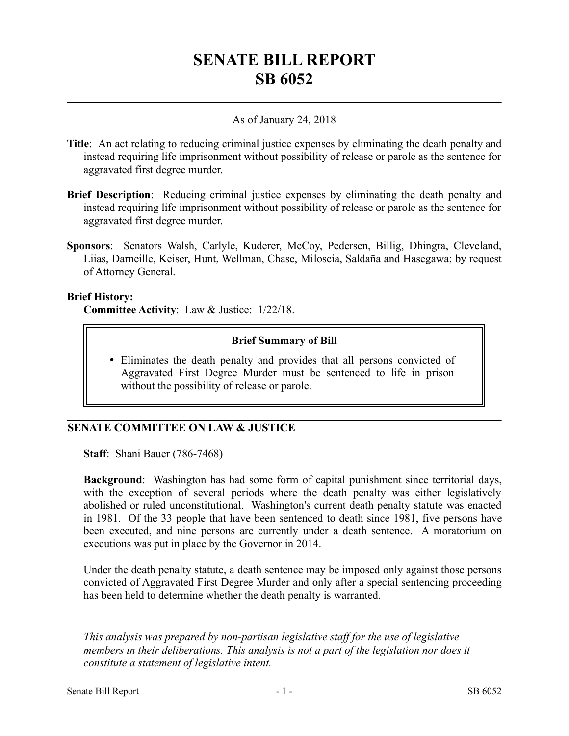# **SENATE BILL REPORT SB 6052**

### As of January 24, 2018

- **Title**: An act relating to reducing criminal justice expenses by eliminating the death penalty and instead requiring life imprisonment without possibility of release or parole as the sentence for aggravated first degree murder.
- **Brief Description**: Reducing criminal justice expenses by eliminating the death penalty and instead requiring life imprisonment without possibility of release or parole as the sentence for aggravated first degree murder.
- **Sponsors**: Senators Walsh, Carlyle, Kuderer, McCoy, Pedersen, Billig, Dhingra, Cleveland, Liias, Darneille, Keiser, Hunt, Wellman, Chase, Miloscia, Saldaña and Hasegawa; by request of Attorney General.

#### **Brief History:**

**Committee Activity**: Law & Justice: 1/22/18.

### **Brief Summary of Bill**

 Eliminates the death penalty and provides that all persons convicted of Aggravated First Degree Murder must be sentenced to life in prison without the possibility of release or parole.

## **SENATE COMMITTEE ON LAW & JUSTICE**

**Staff**: Shani Bauer (786-7468)

**Background**: Washington has had some form of capital punishment since territorial days, with the exception of several periods where the death penalty was either legislatively abolished or ruled unconstitutional. Washington's current death penalty statute was enacted in 1981. Of the 33 people that have been sentenced to death since 1981, five persons have been executed, and nine persons are currently under a death sentence. A moratorium on executions was put in place by the Governor in 2014.

Under the death penalty statute, a death sentence may be imposed only against those persons convicted of Aggravated First Degree Murder and only after a special sentencing proceeding has been held to determine whether the death penalty is warranted.

––––––––––––––––––––––

*This analysis was prepared by non-partisan legislative staff for the use of legislative members in their deliberations. This analysis is not a part of the legislation nor does it constitute a statement of legislative intent.*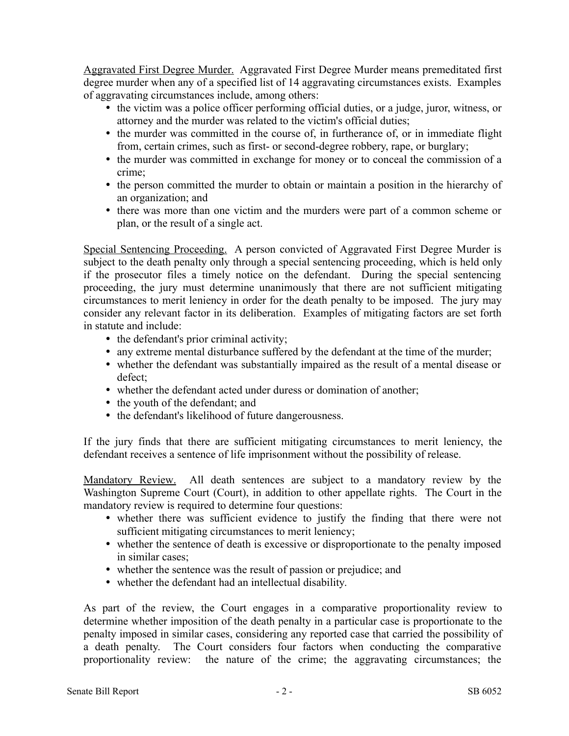Aggravated First Degree Murder. Aggravated First Degree Murder means premeditated first degree murder when any of a specified list of 14 aggravating circumstances exists. Examples of aggravating circumstances include, among others:

- the victim was a police officer performing official duties, or a judge, juror, witness, or attorney and the murder was related to the victim's official duties;
- the murder was committed in the course of, in furtherance of, or in immediate flight from, certain crimes, such as first- or second-degree robbery, rape, or burglary;
- the murder was committed in exchange for money or to conceal the commission of a crime;
- the person committed the murder to obtain or maintain a position in the hierarchy of an organization; and
- there was more than one victim and the murders were part of a common scheme or plan, or the result of a single act.

Special Sentencing Proceeding. A person convicted of Aggravated First Degree Murder is subject to the death penalty only through a special sentencing proceeding, which is held only if the prosecutor files a timely notice on the defendant. During the special sentencing proceeding, the jury must determine unanimously that there are not sufficient mitigating circumstances to merit leniency in order for the death penalty to be imposed. The jury may consider any relevant factor in its deliberation. Examples of mitigating factors are set forth in statute and include:

- the defendant's prior criminal activity;
- any extreme mental disturbance suffered by the defendant at the time of the murder;
- whether the defendant was substantially impaired as the result of a mental disease or defect;
- whether the defendant acted under duress or domination of another;
- the youth of the defendant; and
- the defendant's likelihood of future dangerousness.

If the jury finds that there are sufficient mitigating circumstances to merit leniency, the defendant receives a sentence of life imprisonment without the possibility of release.

Mandatory Review. All death sentences are subject to a mandatory review by the Washington Supreme Court (Court), in addition to other appellate rights. The Court in the mandatory review is required to determine four questions:

- whether there was sufficient evidence to justify the finding that there were not sufficient mitigating circumstances to merit leniency;
- whether the sentence of death is excessive or disproportionate to the penalty imposed in similar cases;
- whether the sentence was the result of passion or prejudice; and
- whether the defendant had an intellectual disability.

As part of the review, the Court engages in a comparative proportionality review to determine whether imposition of the death penalty in a particular case is proportionate to the penalty imposed in similar cases, considering any reported case that carried the possibility of a death penalty. The Court considers four factors when conducting the comparative proportionality review: the nature of the crime; the aggravating circumstances; the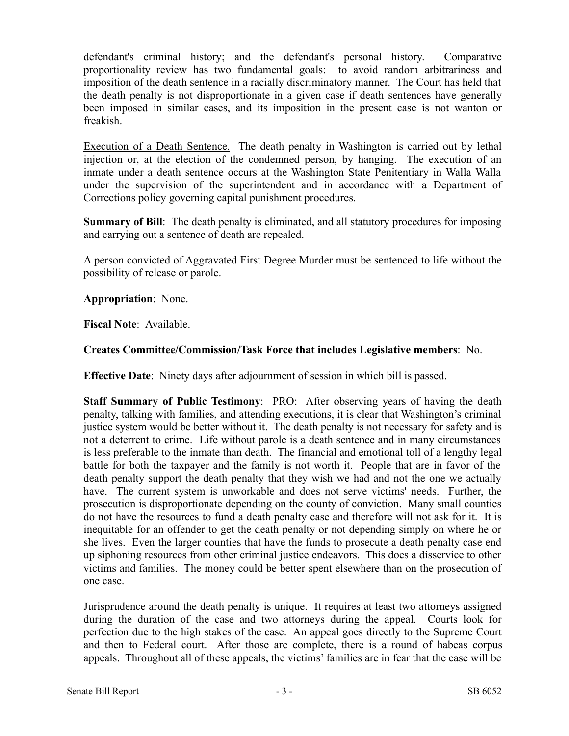defendant's criminal history; and the defendant's personal history. Comparative proportionality review has two fundamental goals: to avoid random arbitrariness and imposition of the death sentence in a racially discriminatory manner. The Court has held that the death penalty is not disproportionate in a given case if death sentences have generally been imposed in similar cases, and its imposition in the present case is not wanton or freakish.

Execution of a Death Sentence. The death penalty in Washington is carried out by lethal injection or, at the election of the condemned person, by hanging. The execution of an inmate under a death sentence occurs at the Washington State Penitentiary in Walla Walla under the supervision of the superintendent and in accordance with a Department of Corrections policy governing capital punishment procedures.

**Summary of Bill**: The death penalty is eliminated, and all statutory procedures for imposing and carrying out a sentence of death are repealed.

A person convicted of Aggravated First Degree Murder must be sentenced to life without the possibility of release or parole.

**Appropriation**: None.

**Fiscal Note**: Available.

### **Creates Committee/Commission/Task Force that includes Legislative members**: No.

**Effective Date**: Ninety days after adjournment of session in which bill is passed.

**Staff Summary of Public Testimony**: PRO: After observing years of having the death penalty, talking with families, and attending executions, it is clear that Washington's criminal justice system would be better without it. The death penalty is not necessary for safety and is not a deterrent to crime. Life without parole is a death sentence and in many circumstances is less preferable to the inmate than death. The financial and emotional toll of a lengthy legal battle for both the taxpayer and the family is not worth it. People that are in favor of the death penalty support the death penalty that they wish we had and not the one we actually have. The current system is unworkable and does not serve victims' needs. Further, the prosecution is disproportionate depending on the county of conviction. Many small counties do not have the resources to fund a death penalty case and therefore will not ask for it. It is inequitable for an offender to get the death penalty or not depending simply on where he or she lives. Even the larger counties that have the funds to prosecute a death penalty case end up siphoning resources from other criminal justice endeavors. This does a disservice to other victims and families. The money could be better spent elsewhere than on the prosecution of one case.

Jurisprudence around the death penalty is unique. It requires at least two attorneys assigned during the duration of the case and two attorneys during the appeal. Courts look for perfection due to the high stakes of the case. An appeal goes directly to the Supreme Court and then to Federal court. After those are complete, there is a round of habeas corpus appeals. Throughout all of these appeals, the victims' families are in fear that the case will be